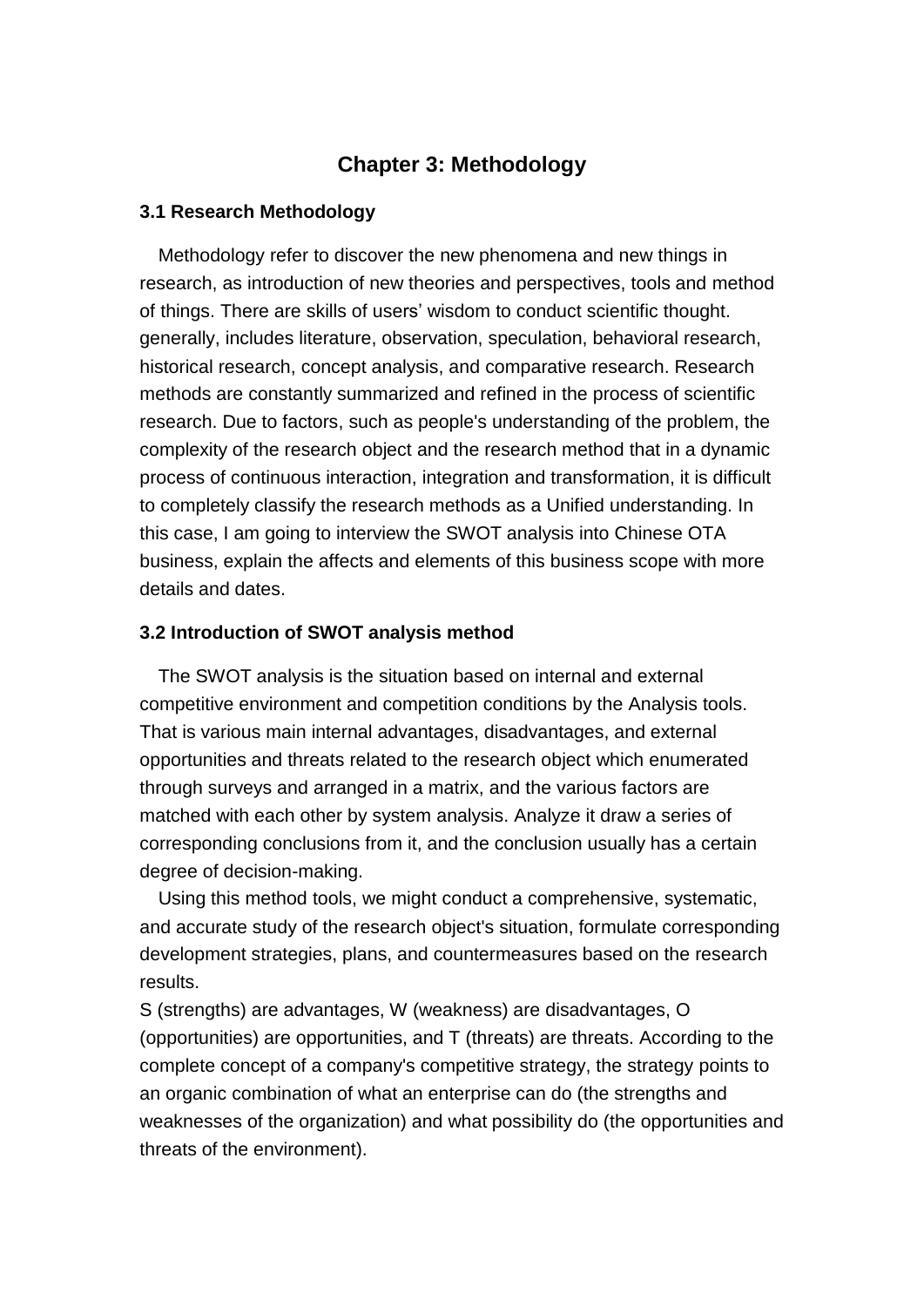# **Chapter 3: Methodology**

#### **3.1 Research Methodology**

Methodology refer to discover the new phenomena and new things in research, as introduction of new theories and perspectives, tools and method of things. There are skills of users' wisdom to conduct scientific thought. generally, includes literature, observation, speculation, behavioral research, historical research, concept analysis, and comparative research. Research methods are constantly summarized and refined in the process of scientific research. Due to factors, such as people's understanding of the problem, the complexity of the research object and the research method that in a dynamic process of continuous interaction, integration and transformation, it is difficult to completely classify the research methods as a Unified understanding. In this case, I am going to interview the SWOT analysis into Chinese OTA business, explain the affects and elements of this business scope with more details and dates.

#### **3.2 Introduction of SWOT analysis method**

The SWOT analysis is the situation based on internal and external competitive environment and competition conditions by the Analysis tools. That is various main internal advantages, disadvantages, and external opportunities and threats related to the research object which enumerated through surveys and arranged in a matrix, and the various factors are matched with each other by system analysis. Analyze it draw a series of corresponding conclusions from it, and the conclusion usually has a certain degree of decision-making.

 Using this method tools, we might conduct a comprehensive, systematic, and accurate study of the research object's situation, formulate corresponding development strategies, plans, and countermeasures based on the research results.

S (strengths) are advantages, W (weakness) are disadvantages, O (opportunities) are opportunities, and T (threats) are threats. According to the complete concept of a company's competitive strategy, the strategy points to an organic combination of what an enterprise can do (the strengths and weaknesses of the organization) and what possibility do (the opportunities and threats of the environment).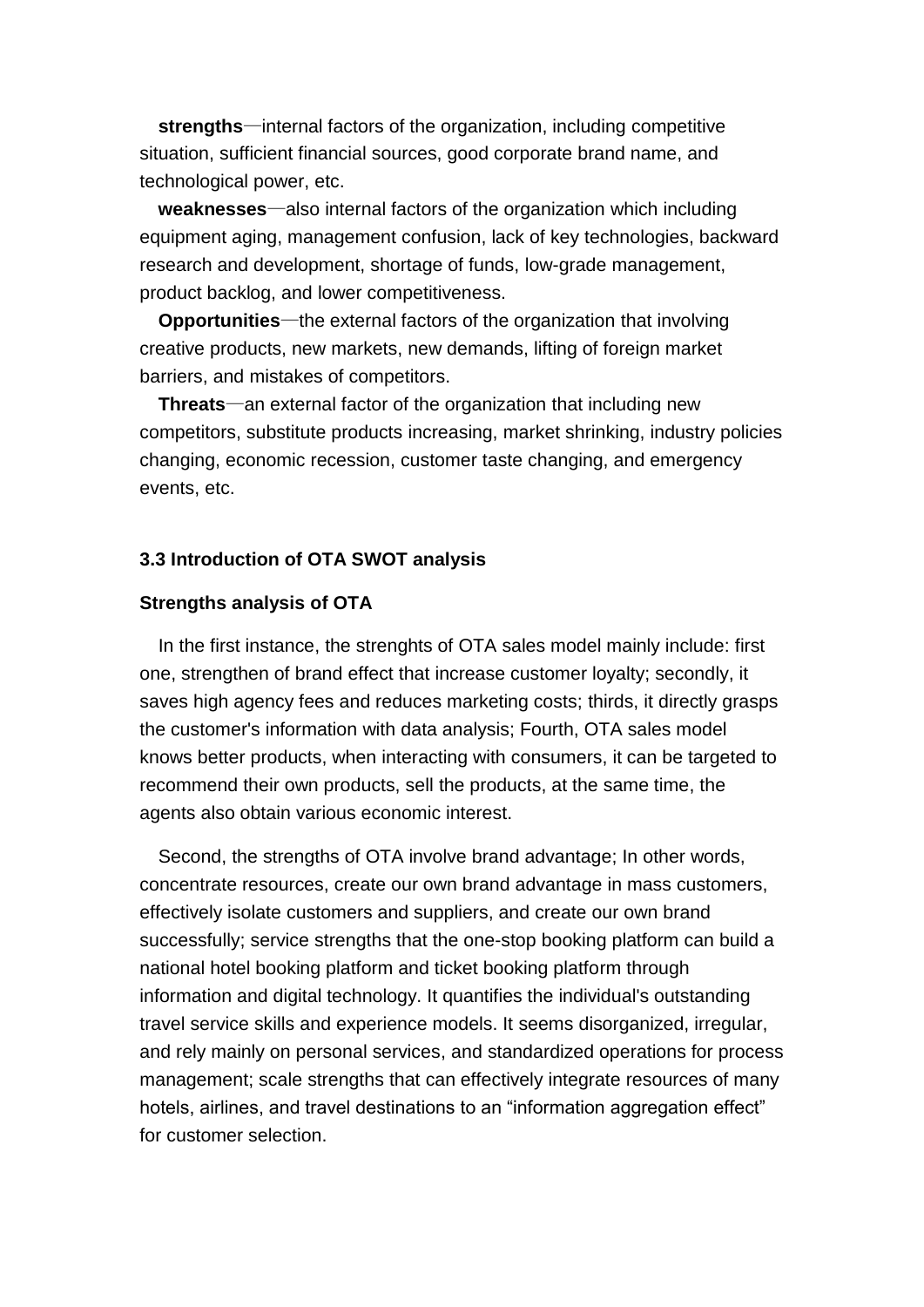**strengths**—internal factors of the organization, including competitive situation, sufficient financial sources, good corporate brand name, and technological power, etc.

 **weaknesses**—also internal factors of the organization which including equipment aging, management confusion, lack of key technologies, backward research and development, shortage of funds, low-grade management, product backlog, and lower competitiveness.

 **Opportunities**—the external factors of the organization that involving creative products, new markets, new demands, lifting of foreign market barriers, and mistakes of competitors.

 **Threats**—an external factor of the organization that including new competitors, substitute products increasing, market shrinking, industry policies changing, economic recession, customer taste changing, and emergency events, etc.

## **3.3 Introduction of OTA SWOT analysis**

#### **Strengths analysis of OTA**

In the first instance, the strenghts of OTA sales model mainly include: first one, strengthen of brand effect that increase customer loyalty; secondly, it saves high agency fees and reduces marketing costs; thirds, it directly grasps the customer's information with data analysis; Fourth, OTA sales model knows better products, when interacting with consumers, it can be targeted to recommend their own products, sell the products, at the same time, the agents also obtain various economic interest.

Second, the strengths of OTA involve brand advantage; In other words, concentrate resources, create our own brand advantage in mass customers, effectively isolate customers and suppliers, and create our own brand successfully; service strengths that the one-stop booking platform can build a national hotel booking platform and ticket booking platform through information and digital technology. It quantifies the individual's outstanding travel service skills and experience models. It seems disorganized, irregular, and rely mainly on personal services, and standardized operations for process management; scale strengths that can effectively integrate resources of many hotels, airlines, and travel destinations to an "information aggregation effect" for customer selection.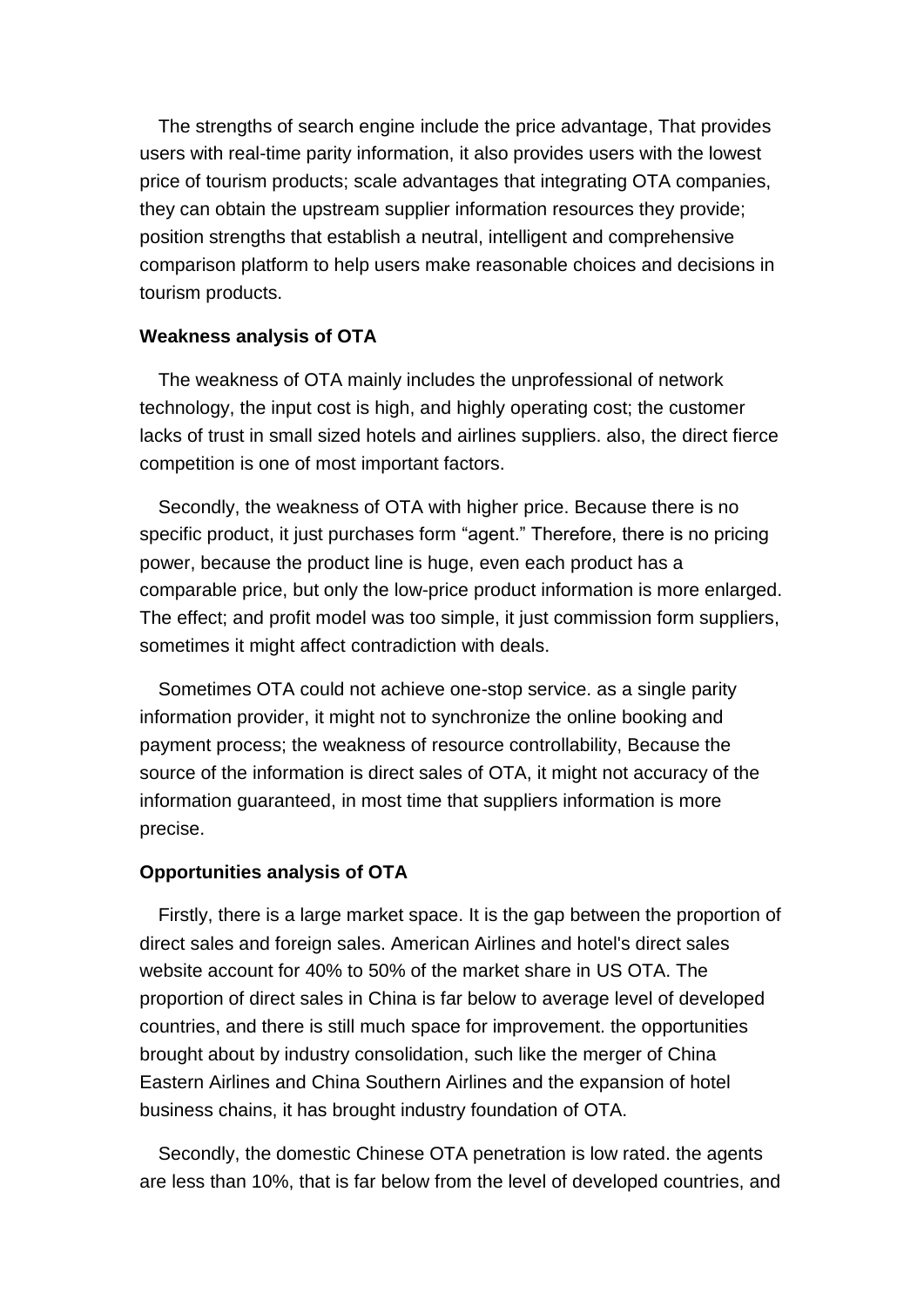The strengths of search engine include the price advantage, That provides users with real-time parity information, it also provides users with the lowest price of tourism products; scale advantages that integrating OTA companies, they can obtain the upstream supplier information resources they provide; position strengths that establish a neutral, intelligent and comprehensive comparison platform to help users make reasonable choices and decisions in tourism products.

#### **Weakness analysis of OTA**

The weakness of OTA mainly includes the unprofessional of network technology, the input cost is high, and highly operating cost; the customer lacks of trust in small sized hotels and airlines suppliers. also, the direct fierce competition is one of most important factors.

Secondly, the weakness of OTA with higher price. Because there is no specific product, it just purchases form "agent." Therefore, there is no pricing power, because the product line is huge, even each product has a comparable price, but only the low-price product information is more enlarged. The effect; and profit model was too simple, it just commission form suppliers, sometimes it might affect contradiction with deals.

Sometimes OTA could not achieve one-stop service. as a single parity information provider, it might not to synchronize the online booking and payment process; the weakness of resource controllability, Because the source of the information is direct sales of OTA, it might not accuracy of the information guaranteed, in most time that suppliers information is more precise.

# **Opportunities analysis of OTA**

Firstly, there is a large market space. It is the gap between the proportion of direct sales and foreign sales. American Airlines and hotel's direct sales website account for 40% to 50% of the market share in US OTA. The proportion of direct sales in China is far below to average level of developed countries, and there is still much space for improvement. the opportunities brought about by industry consolidation, such like the merger of China Eastern Airlines and China Southern Airlines and the expansion of hotel business chains, it has brought industry foundation of OTA.

Secondly, the domestic Chinese OTA penetration is low rated. the agents are less than 10%, that is far below from the level of developed countries, and